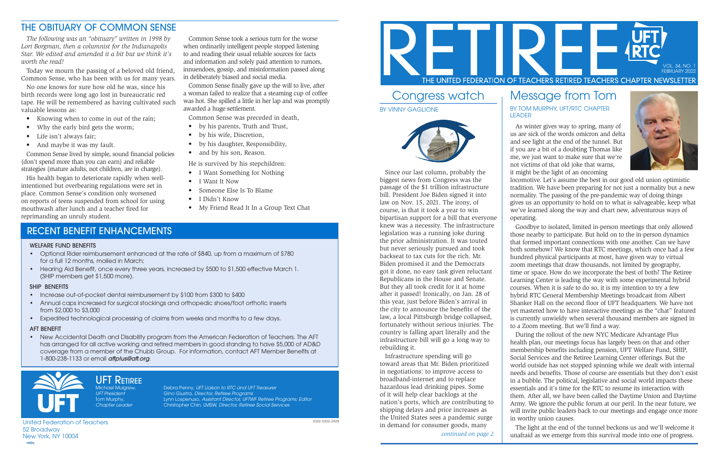Michael Mulgrew, Debra Penny, UFT Liaison to RTC and UFT Treasurer UFT President Gino Giustra, Director, Retiree Programs Tom Murphy, Lynn Lospenuso, *Assistant Director, UFTWF Retiree Programs; Editor*<br>Chapter Leader Christopher Chin, LMSW, *Director, Retiree Social Services* Christopher Chin, LMSW, Director, Retiree Social Services

United Federation of Teachers

# UFT RETIREE

52 Broadway New York, NY 10004

## Congress watch BY VINNY GAGLIONE



Since our last column, probably the biggest news from Congress was the passage of the \$1 trillion infrastructure bill. President Joe Biden signed it into law on Nov. 15, 2021. The irony, of course, is that it took a year to win bipartisan support for a bill that everyone knew was a necessity. The infrastructure legislation was a running joke during the prior administration. It was touted but never seriously pursued and took backseat to tax cuts for the rich. Mr. Biden promised it and the Democrats got it done, no easy task given reluctant Republicans in the House and Senate. But they all took credit for it at home after it passed! Ironically, on Jan. 28 of this year, just before Biden's arrival in the city to announce the benefits of the law, a local Pittsburgh bridge collapsed, fortunately without serious injuries. The country is falling apart literally and the infrastructure bill will go a long way to rebuilding it.

Infrastructure spending will go toward areas that Mr. Biden prioritized in negotiations: to improve access to broadband-internet and to replace hazardous lead drinking pipes. Some of it will help clear backlogs at the nation's ports, which are contributing to shipping delays and price increases as the United States sees a pandemic surge in demand for consumer goods, many

## Message from Tom

BY TOM MURPHY, UFT/RTC CHAPTER LEADER

As winter gives way to spring, many of us are sick of the words omicron and delta and see light at the end of the tunnel. But if you are a bit of a doubting Thomas like me, we just want to make sure that we're not victims of that old joke that warns, it might be the light of an oncoming



locomotive. Let's assume the best in our good old union optimistic tradition. We have been preparing for not just a normality but a new normality. The passing of the pre-pandemic way of doing things gives us an opportunity to hold on to what is salvageable, keep what we've learned along the way and chart new, adventurous ways of operating.

Goodbye to isolated, limited in-person meetings that only allowed those nearby to participate. But hold on to the in-person dynamics that formed important connections with one another. Can we have both somehow? We know that RTC meetings, which once had a few hundred physical participants at most, have given way to virtual zoom meetings that draw thousands, not limited by geography, time or space. How do we incorporate the best of both? The Retiree Learning Center is leading the way with some experimental hybrid courses. When it is safe to do so, it is my intention to try a few hybrid RTC General Membership Meetings broadcast from Albert Shanker Hall on the second floor of UFT headquarters. We have not yet mastered how to have interactive meetings as the "chat" featured is currently unwieldy when several thousand members are signed in to a Zoom meeting. But we'll find a way.

- by his parents, Truth and Trust,
- by his wife, Discretion,
- by his daughter, Responsibility,
- and by his son, Reason.

• New Accidental Death and Disability program from the American Federation of Teachers. The AFT has arranged for all active working and retired members in good standing to have \$5,000 of AD&D coverage from a member of the Chubb Group. For information, contact AFT Member Benefits at 1-800-238-1133 or email aftplus@aft.org.



During the rollout of the new NYC Medicare Advantage Plus health plan, our meetings focus has largely been on that and other membership benefits including pension, UFT Welfare Fund, SHIP, Social Services and the Retiree Learning Center offerings. But the world outside has not stopped spinning while we dealt with internal needs and benefits. Those of course are essentials but they don't exist in a bubble. The political, legislative and social world impacts these essentials and it's time for the RTC to resume its interaction with them. After all, we have been called the Daytime Union and Daytime Army. We ignore the public forum at our peril. In the near future, we will invite public leaders back to our meetings and engage once more in worthy union causes.

The light at the end of the tunnel beckons us and we'll welcome it unafraid as we emerge from this survival mode into one of progress.



*continued on page 2*

2022-0202-2428



## THE OBITUARY OF COMMON SENSE

*The following was an "obituary" written in 1998 by Lori Borgman, then a columnist for the Indianapolis Star. We edited and amended it a bit but we think it's worth the read!*

Today we mourn the passing of a beloved old friend, Common Sense, who has been with us for many years.

No one knows for sure how old he was, since his birth records were long ago lost in bureaucratic red tape. He will be remembered as having cultivated such valuable lessons as:

- Knowing when to come in out of the rain;
- Why the early bird gets the worm;
- Life isn't always fair;
- And maybe it was my fault.

Common Sense lived by simple, sound financial policies (don't spend more than you can earn) and reliable strategies (mature adults, not children, are in charge).

His health began to deteriorate rapidly when wellintentioned but overbearing regulations were set in place. Common Sense's condition only worsened on reports of teens suspended from school for using mouthwash after lunch and a teacher fired for reprimanding an unruly student.

Common Sense took a serious turn for the worse when ordinarily intelligent people stopped listening to and reading their usual reliable sources for facts and information and solely paid attention to rumors, innuendoes, gossip, and misinformation passed along in deliberately biased and social media.

Common Sense finally gave up the will to live, after a woman failed to realize that a steaming cup of coffee was hot. She spilled a little in her lap and was promptly awarded a huge settlement.

Common Sense was preceded in death,

He is survived by his stepchildren:

- I Want Something for Nothing
- I Want It Now
- Someone Else Is To Blame
- I Didn't Know
- My Friend Read It In a Group Text Chat

## RECENT BENEFIT ENHANCEMENTS

### WELFARE FUND BENEFITS

- Optional Rider reimbursement enhanced at the rate of \$840, up from a maximum of \$780 for a full 12 months, mailed in March;
- Hearing Aid Benefit, once every three years, increased by \$500 to \$1,500 effective March 1. (SHIP members get \$1,500 more).

### SHIP BENEFITS

- Increase out-of-pocket dental reimbursement by \$100 from \$300 to \$400
- Annual caps increased for surgical stockings and orthopedic shoes/foot orthotic inserts from \$2,000 to \$3,000
- Expedited technological processing of claims from weeks and months to a few days.

#### AFT BENEFIT